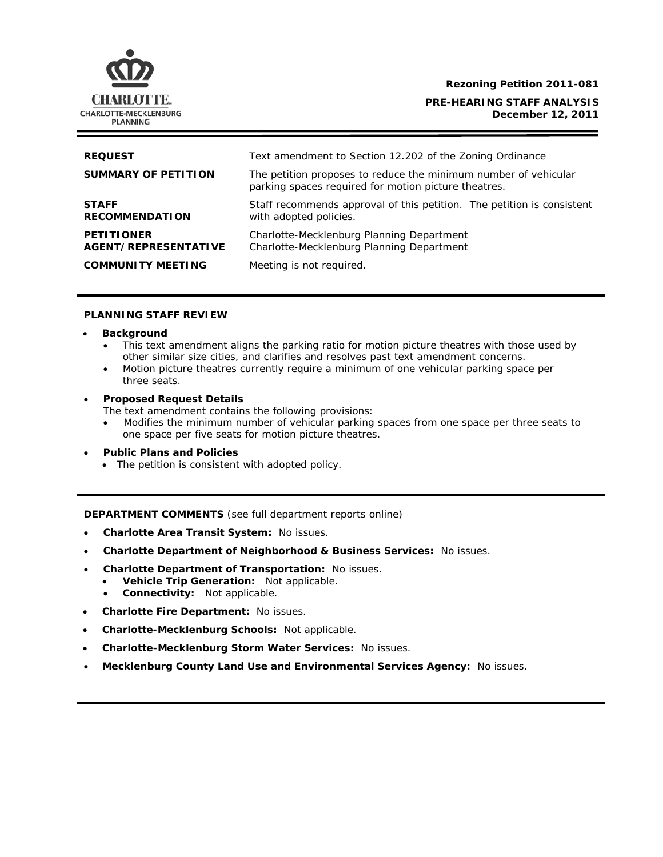

### **Rezoning Petition 2011-081**

**PRE-HEARING STAFF ANALYSIS December 12, 2011**

| <b>REQUEST</b>                                   | Text amendment to Section 12.202 of the Zoning Ordinance                                                                |
|--------------------------------------------------|-------------------------------------------------------------------------------------------------------------------------|
| <b>SUMMARY OF PETITION</b>                       | The petition proposes to reduce the minimum number of vehicular<br>parking spaces required for motion picture theatres. |
| <b>STAFF</b><br><b>RECOMMENDATION</b>            | Staff recommends approval of this petition. The petition is consistent<br>with adopted policies.                        |
| <b>PETITIONER</b><br><b>AGENT/REPRESENTATIVE</b> | Charlotte-Mecklenburg Planning Department<br>Charlotte-Mecklenburg Planning Department                                  |
| <b>COMMUNITY MEETING</b>                         | Meeting is not required.                                                                                                |

### **PLANNING STAFF REVIEW**

- **Background** 
	- This text amendment aligns the parking ratio for motion picture theatres with those used by other similar size cities, and clarifies and resolves past text amendment concerns.
	- Motion picture theatres currently require a minimum of one vehicular parking space per three seats.
- **Proposed Request Details**

The text amendment contains the following provisions:

- Modifies the minimum number of vehicular parking spaces from one space per three seats to one space per five seats for motion picture theatres.
- **Public Plans and Policies** 
	- The petition is consistent with adopted policy.

**DEPARTMENT COMMENTS** (see full department reports online)

- **Charlotte Area Transit System:** No issues.
- **Charlotte Department of Neighborhood & Business Services:** No issues.
- **Charlotte Department of Transportation:** No issues.
	- **Vehicle Trip Generation:** Not applicable.
	- **Connectivity:** Not applicable.
- **Charlotte Fire Department:** No issues.
- **Charlotte-Mecklenburg Schools:** Not applicable.
- **Charlotte-Mecklenburg Storm Water Services:** No issues.
- **Mecklenburg County Land Use and Environmental Services Agency:** No issues.